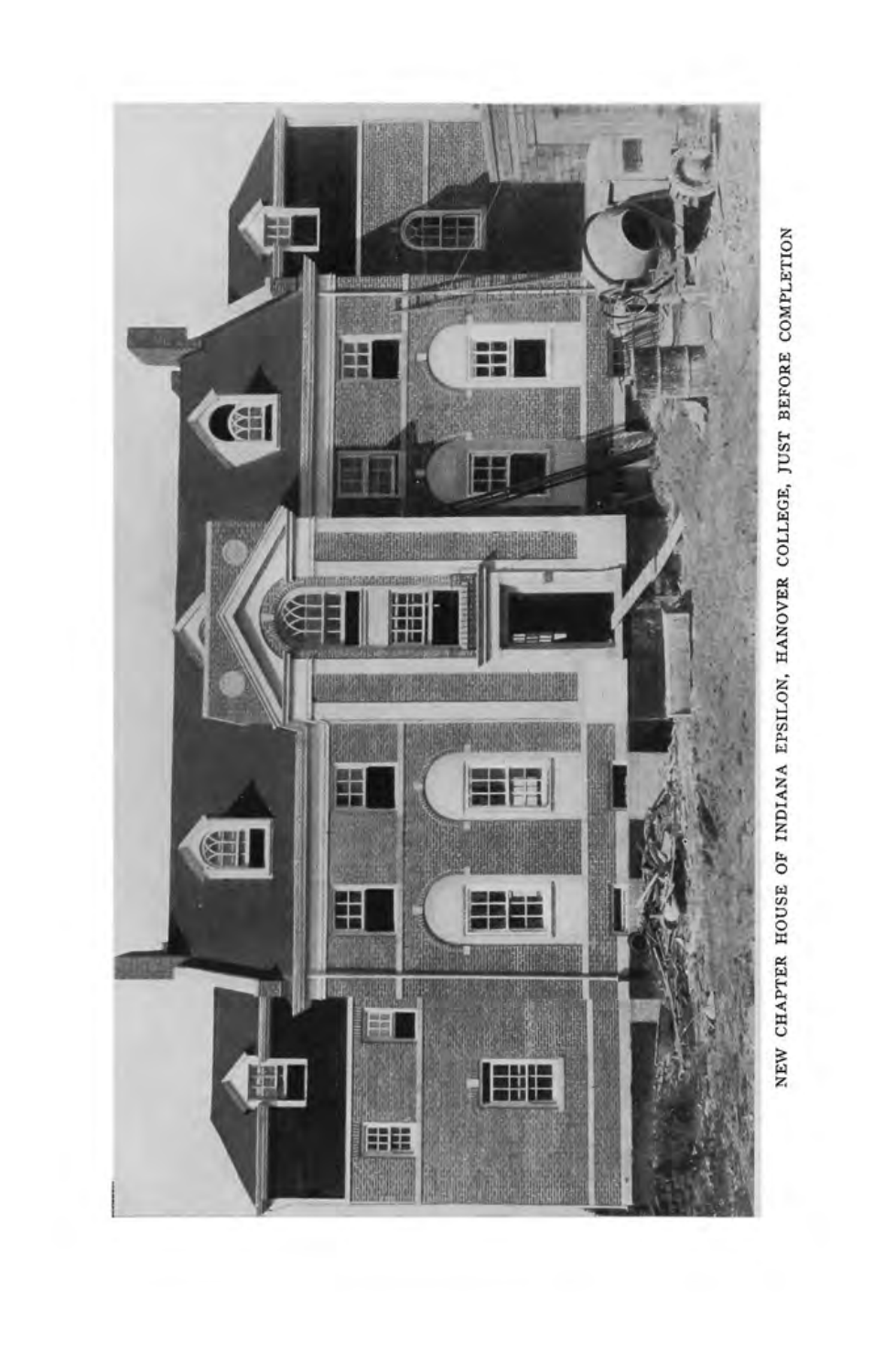

NEW CHAPTER HOUSE OF INDIANA EPSILON, HANOVER COLLEGE, JUST BEFORE COMPLETION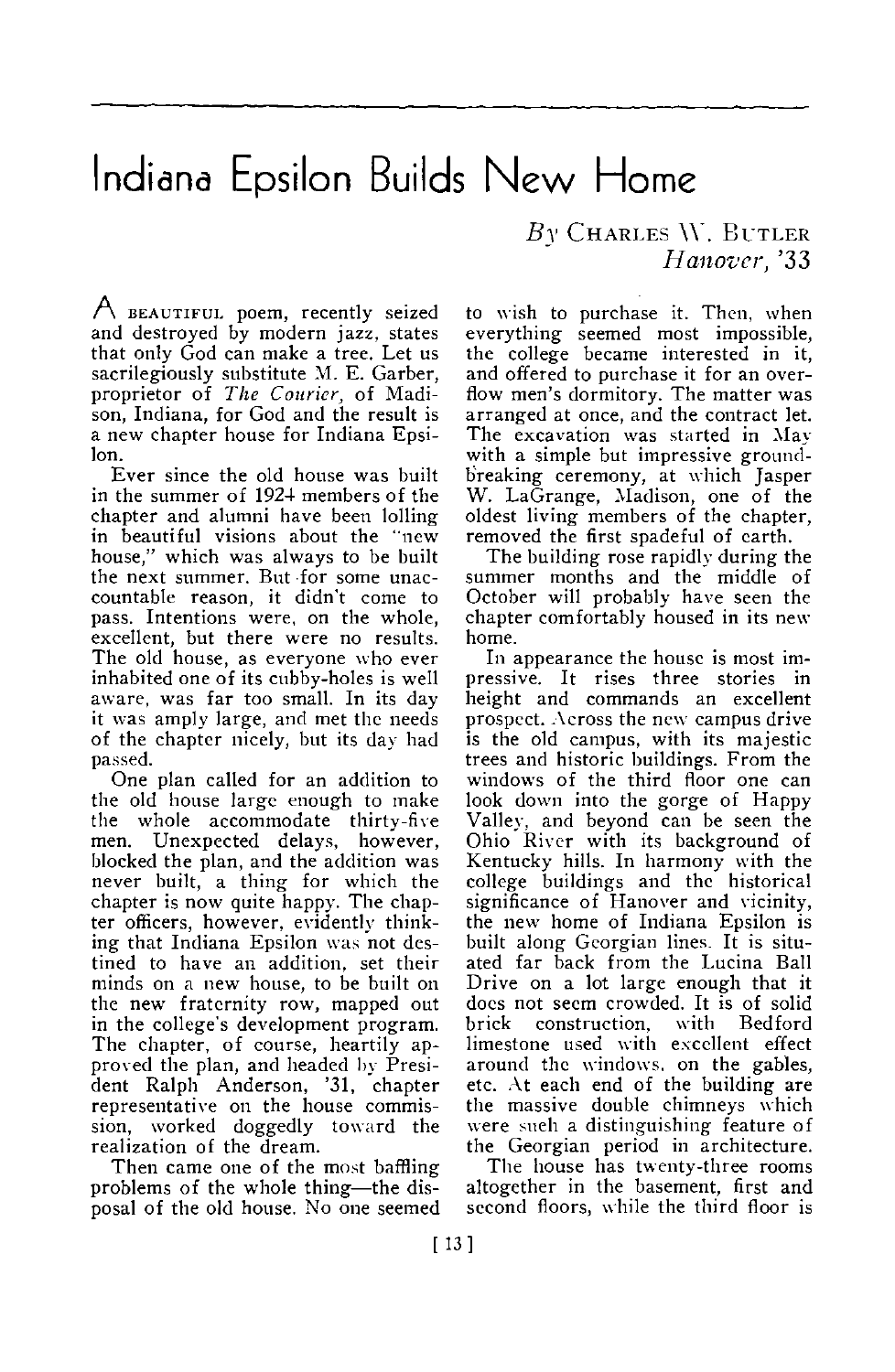## Indiana Epsilon Builds New Home

A BEAUTIFUL poem, recently seized and destroyed by modern jazz, states that only God can make a tree. Let us sacrilegiously substitute M. E. Garber, proprietor of *The Courier,* of Madison, Indiana, for God and the result is a new chapter house for Indiana Epsilon.

Ever since the old house was built in the summer of 1924 members of the chapter and alumni have been lolling in beautiful visions about the "new house," which was always to be built the next summer. But for some unaccountable reason, it didn't come to pass. Intentions were, on the whole, excellent, but there were no results. The old house, as everyone who ever inhabited one of its cubby-holes is well aware, was far too small. In its day it was amply large, and met the needs of the chapter nicely, but its day had passed.

One plan called for an addition to the old house large enough to make the whole accommodate thirty-five men. Unexpected delays, however, blocked the plan, and the addition was never built, a thing for which the chapter is now quite happy. The chapter officers, however, evidently thinking that Indiana Epsilon was not destined to have an addition, set their minds on a new house, to be built on the new fraternity row, mapped out in the college's development program. The chapter, of course, heartily approved the plan, and headed by President Ralph Anderson, '31, chapter representative on the house commis-sion, worked doggedly toward the realization of the dream.

Then came one of the most baffling problems of the whole thing—the disposal of the old house. No one seemed  $B_Y$  CHARLES W. BUTLER *Hanover,* '33

to wish to purchase it. Then, when everything seemed most impossible, the college became interested in it, and offered to purchase it for an overflow men's dormitory. The matter was arranged at once, and the contract let. The excavation was started in May with a simple but impressive groundbreaking ceremony, at which Jasper W. LaGrange, Madison, one of the oldest living members of the chapter, removed the first spadeful of earth.

The building rose rapidly during the summer months and the middle of October will probably have seen the chapter comfortably housed in its new home.

In appearance the house is most impressive. It rises three stories in height and commands an excellent prospect. Across the new campus drive is the old campus, with its majestic trees and historic buildings. From the windows of the third floor one can look down into the gorge of Happy Valley, and beyond can be seen the Ohio River with its background of Kentucky hills. In harmony with the college buildings and the historical significance of Hanover and vicinity, the new home of Indiana Epsilon is built along Georgian lines. It is situated far back from the Lucina Ball Drive on a lot large enough that it does not seem crowded. It is of solid brick construction, with Bedford limestone used with excellent effect around the windows, on the gables, etc. At each end of the building are the massive double chimneys which were such a distinguishing feature of<br>the Georgian period in architecture.

The house has twenty-three rooms altogether in the basement, first and second floors, while the third floor is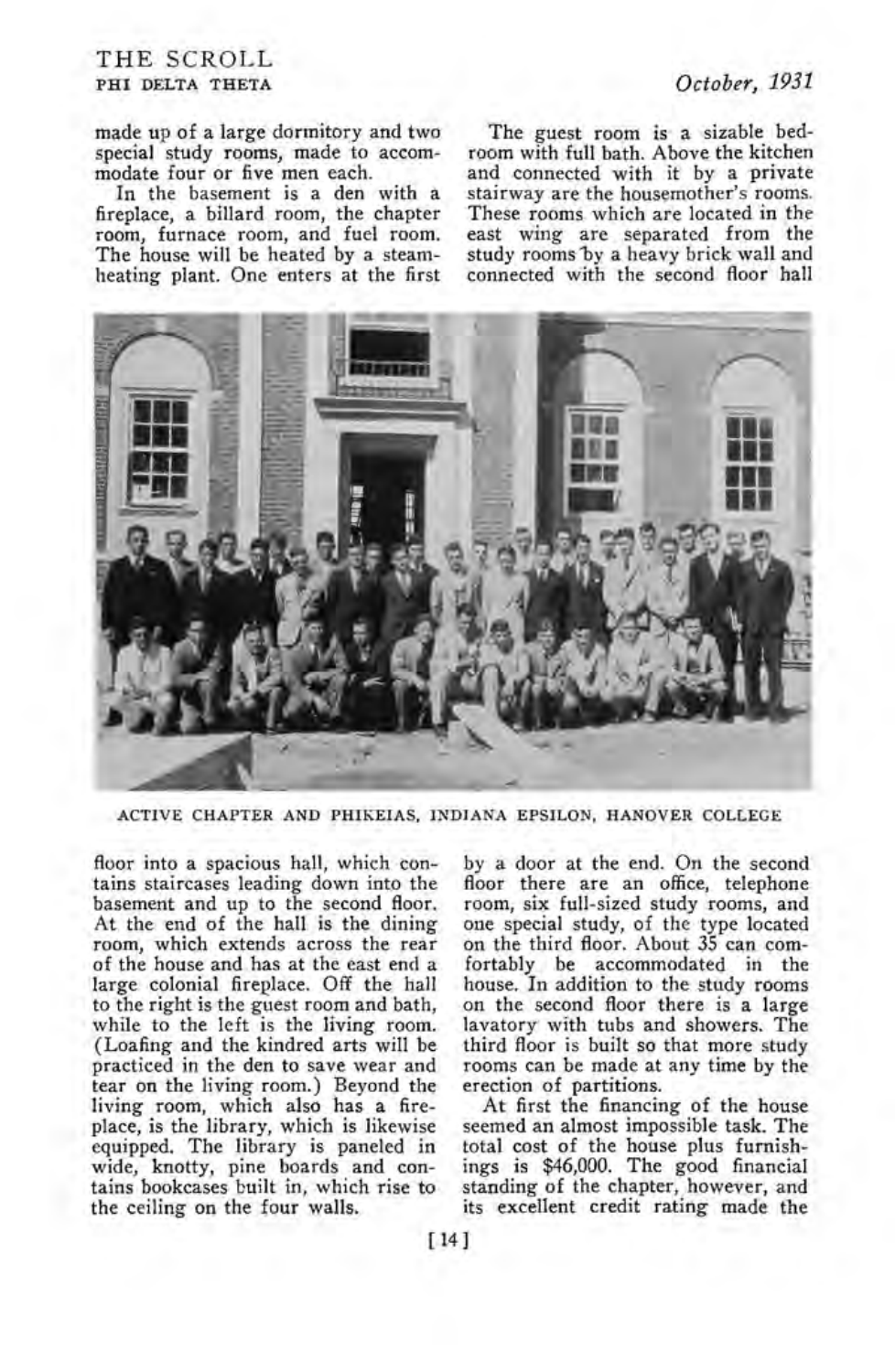## THE SCROLL PHI DELTA THETA *October, 1931*

In the basement is a den with a fireplace, a billard room, the chapter room, furnace room, and fuel room. The house will be heated by a steamheating plant. One enters at the first

The guest room is a sizable bedroom with full bath. Above the kitchen and connected with it by a private stairway are the housemother's rooms. These rooms which are located in the east wing are separated from the study rooms by a heavy brick wall and connected with the second floor hall



ACTIVE CHAPTER AND PHIKEIAS, INDIANA EPSILON, HANOVER COLLEGE

floor into a spacious hall, which contains staircases leading down into the basement and up to the second floor. At the end of the hall is the dining room, which extends across the rear of the house and has at the east end a large colonial fireplace. Off the hall to the right is the guest room and bath, while to the left is the living room. (Loafing and the kindred arts will be practiced in the den to save wear and tear on the living room.) Beyond the living room, which also has a fireplace, is the library, which is likewise equipped. The library is paneled in wide, knotty, pine boards and contains bookcases built in, which rise to the ceiling on the four walls.

by a door at the end. On the second floor there are an office, telephone room, six full-sized study rooms, and one special study, of the type located on the third floor. About 35 can comfortably be accommodated in the house. In addition to the study rooms on the second floor there is a large lavatory with tubs and showers. The third floor is built so that more study rooms can be made at any time by the erection of partitions.

At first the financing of the house seemed an almost impossible task. The total cost of the house plus furnishings is \$46,000. The good financial standing of the chapter, however, and its excellent credit rating made the